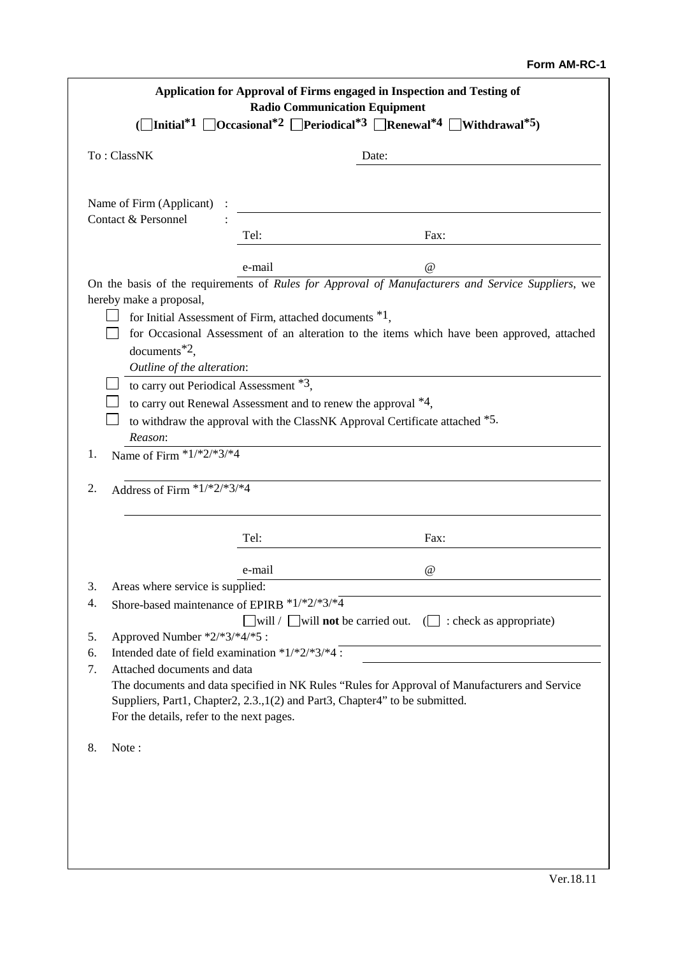## **Form AM-RC-1**

| Application for Approval of Firms engaged in Inspection and Testing of<br><b>Radio Communication Equipment</b>                                                                                                     |                                                  |        |  |                                                                                       |
|--------------------------------------------------------------------------------------------------------------------------------------------------------------------------------------------------------------------|--------------------------------------------------|--------|--|---------------------------------------------------------------------------------------|
| $\Box$ Initial <sup>*1</sup> $\Box$ Occasional <sup>*2</sup> $\Box$ Periodical <sup>*3</sup> $\Box$ Renewal <sup>*4</sup> $\Box$ Withdrawal <sup>*5</sup> )                                                        |                                                  |        |  |                                                                                       |
| To: ClassNK                                                                                                                                                                                                        |                                                  | Date:  |  |                                                                                       |
|                                                                                                                                                                                                                    | Name of Firm (Applicant) :                       |        |  |                                                                                       |
| Contact & Personnel                                                                                                                                                                                                |                                                  |        |  |                                                                                       |
|                                                                                                                                                                                                                    |                                                  | Tel:   |  | Fax:                                                                                  |
|                                                                                                                                                                                                                    |                                                  | e-mail |  | $\omega$                                                                              |
| On the basis of the requirements of Rules for Approval of Manufacturers and Service Suppliers, we                                                                                                                  |                                                  |        |  |                                                                                       |
| hereby make a proposal,                                                                                                                                                                                            |                                                  |        |  |                                                                                       |
| for Initial Assessment of Firm, attached documents $*1$ ,                                                                                                                                                          |                                                  |        |  |                                                                                       |
| for Occasional Assessment of an alteration to the items which have been approved, attached                                                                                                                         |                                                  |        |  |                                                                                       |
| documents $^*$ <sup>2</sup> ,<br>Outline of the alteration:                                                                                                                                                        |                                                  |        |  |                                                                                       |
| to carry out Periodical Assessment *3,                                                                                                                                                                             |                                                  |        |  |                                                                                       |
| to carry out Renewal Assessment and to renew the approval $*4$ ,                                                                                                                                                   |                                                  |        |  |                                                                                       |
| to withdraw the approval with the ClassNK Approval Certificate attached *5.                                                                                                                                        |                                                  |        |  |                                                                                       |
| Reason:                                                                                                                                                                                                            |                                                  |        |  |                                                                                       |
| 1.                                                                                                                                                                                                                 | Name of Firm $*1/*2/*3/*4$                       |        |  |                                                                                       |
| 2.                                                                                                                                                                                                                 | Address of Firm $*1/*2/*3/*4$                    |        |  |                                                                                       |
|                                                                                                                                                                                                                    |                                                  | Tel:   |  | Fax:                                                                                  |
|                                                                                                                                                                                                                    |                                                  | e-mail |  | $^{\textregistered}$                                                                  |
| 3.                                                                                                                                                                                                                 | Areas where service is supplied:                 |        |  |                                                                                       |
| 4.                                                                                                                                                                                                                 | Shore-based maintenance of EPIRB *1/*2/*3/*4     |        |  |                                                                                       |
|                                                                                                                                                                                                                    |                                                  |        |  | $\Box$ will / $\Box$ will <b>not</b> be carried out. ( $\Box$ : check as appropriate) |
| 5.                                                                                                                                                                                                                 | Approved Number *2/*3/*4/*5 :                    |        |  |                                                                                       |
| 6.                                                                                                                                                                                                                 | Intended date of field examination *1/*2/*3/*4 : |        |  |                                                                                       |
| Attached documents and data<br>7.<br>The documents and data specified in NK Rules "Rules for Approval of Manufacturers and Service<br>Suppliers, Part1, Chapter2, 2.3., 1(2) and Part3, Chapter4" to be submitted. |                                                  |        |  |                                                                                       |
|                                                                                                                                                                                                                    |                                                  |        |  |                                                                                       |
|                                                                                                                                                                                                                    | For the details, refer to the next pages.        |        |  |                                                                                       |
| 8.                                                                                                                                                                                                                 | Note:                                            |        |  |                                                                                       |
|                                                                                                                                                                                                                    |                                                  |        |  |                                                                                       |
|                                                                                                                                                                                                                    |                                                  |        |  |                                                                                       |
|                                                                                                                                                                                                                    |                                                  |        |  |                                                                                       |
|                                                                                                                                                                                                                    |                                                  |        |  |                                                                                       |
|                                                                                                                                                                                                                    |                                                  |        |  |                                                                                       |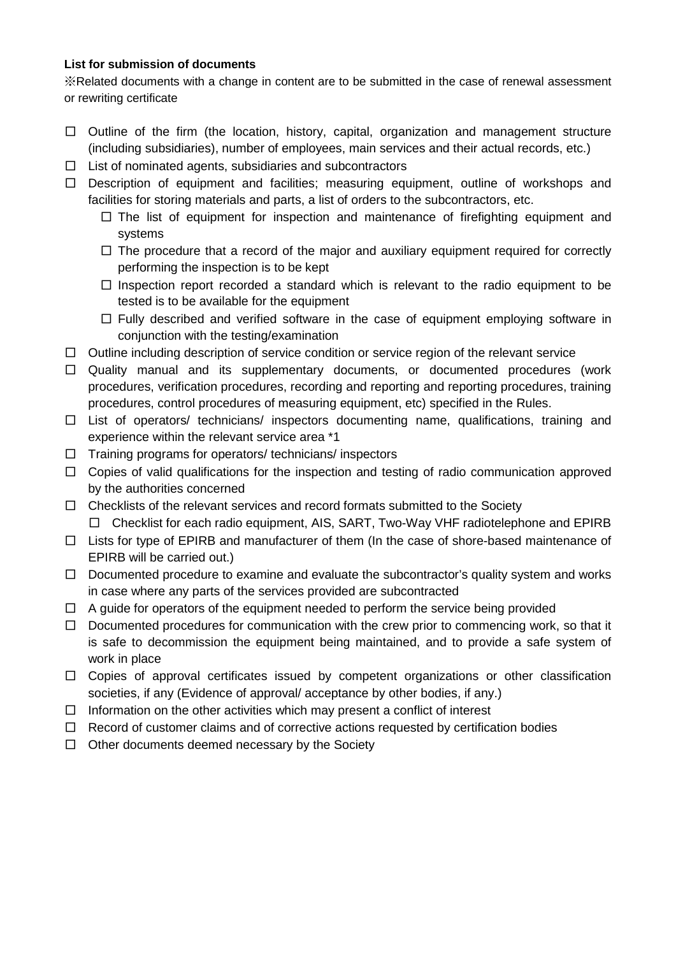## **List for submission of documents**

※Related documents with a change in content are to be submitted in the case of renewal assessment or rewriting certificate

- $\Box$  Outline of the firm (the location, history, capital, organization and management structure (including subsidiaries), number of employees, main services and their actual records, etc.)
- $\Box$  List of nominated agents, subsidiaries and subcontractors
- □ Description of equipment and facilities; measuring equipment, outline of workshops and facilities for storing materials and parts, a list of orders to the subcontractors, etc.
	- □ The list of equipment for inspection and maintenance of firefighting equipment and systems
	- $\square$  The procedure that a record of the major and auxiliary equipment required for correctly performing the inspection is to be kept
	- $\square$  Inspection report recorded a standard which is relevant to the radio equipment to be tested is to be available for the equipment
	- $\square$  Fully described and verified software in the case of equipment employing software in conjunction with the testing/examination
- $\Box$  Outline including description of service condition or service region of the relevant service
- □ Quality manual and its supplementary documents, or documented procedures (work procedures, verification procedures, recording and reporting and reporting procedures, training procedures, control procedures of measuring equipment, etc) specified in the Rules.
- $\square$  List of operators/ technicians/ inspectors documenting name, qualifications, training and experience within the relevant service area \*1
- $\Box$  Training programs for operators/ technicians/ inspectors
- $\Box$  Copies of valid qualifications for the inspection and testing of radio communication approved by the authorities concerned
- $\Box$  Checklists of the relevant services and record formats submitted to the Society □ Checklist for each radio equipment, AIS, SART, Two-Way VHF radiotelephone and EPIRB
- □ Lists for type of EPIRB and manufacturer of them (In the case of shore-based maintenance of EPIRB will be carried out.)
- $\Box$  Documented procedure to examine and evaluate the subcontractor's quality system and works in case where any parts of the services provided are subcontracted
- $\Box$  A guide for operators of the equipment needed to perform the service being provided
- $\Box$  Documented procedures for communication with the crew prior to commencing work, so that it is safe to decommission the equipment being maintained, and to provide a safe system of work in place
- □ Copies of approval certificates issued by competent organizations or other classification societies, if any (Evidence of approval/ acceptance by other bodies, if any.)
- $\Box$  Information on the other activities which may present a conflict of interest
- $\Box$  Record of customer claims and of corrective actions requested by certification bodies
- $\Box$  Other documents deemed necessary by the Society